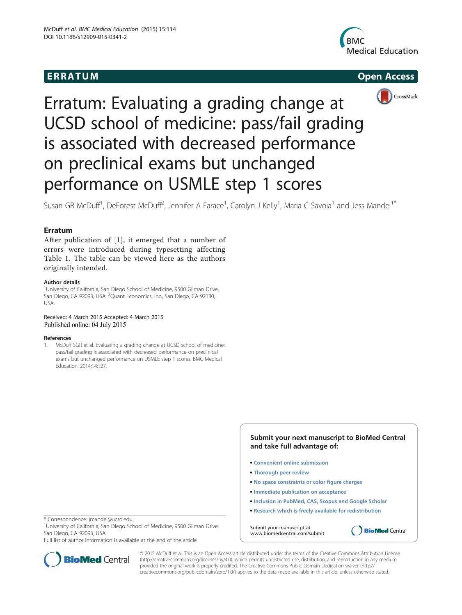





# Erratum: Evaluating a grading change at UCSD school of medicine: pass/fail grading is associated with decreased performance on preclinical exams but unchanged performance on USMLE step 1 scores

Susan GR McDuff<sup>1</sup>, DeForest McDuff<sup>2</sup>, Jennifer A Farace<sup>1</sup>, Carolyn J Kelly<sup>1</sup>, Maria C Savoia<sup>1</sup> and Jess Mandel<sup>1\*</sup>

After publication of [1], it emerged that a number of errors were introduced during typesetting affecting Table [1.](#page-1-0) The table can be viewed here as the authors originally intended.

## Author details

<sup>1</sup>University of California, San Diego School of Medicine, 9500 Gilman Drive, San Diego, CA 92093, USA. <sup>2</sup>Quant Economics, Inc., San Diego, CA 92130, USA.

## Received: 4 March 2015 Accepted: 4 March 2015 Published online: 04 July 2015

## References

1. McDuff SGR et al. Evaluating a grading change at UCSD school of medicine: pass/fail grading is associated with decreased performance on preclinical exams but unchanged performance on USMLE step 1 scores. BMC Medical Education. 2014;14:127.

- **Submit your next manuscript to BioMed Central and take full advantage of:**
- **Convenient online submission**
- **Thorough peer review**
- **No space constraints or color figure charges**
- **Immediate publication on acceptance**
- **Inclusion in PubMed, CAS, Scopus and Google Scholar**
- **Research which is freely available for redistribution**

**BioMed** Central

Submit your manuscript at www.biomedcentral.com/submit

\* Correspondence: [jmandel@ucsd.edu](mailto:jmandel@ucsd.edu) <sup>1</sup>

<sup>1</sup>University of California, San Diego School of Medicine, 9500 Gilman Drive, San Diego, CA 92093, USA

Full list of author information is available at the end of the article



© 2015 McDuff et al. This is an Open Access article distributed under the terms of the Creative Commons Attribution License [\(http://creativecommons.org/licenses/by/4.0\)](http://creativecommons.org/licenses/by/4.0), which permits unrestricted use, distribution, and reproduction in any medium, provided the original work is properly credited. The Creative Commons Public Domain Dedication waiver [\(http://](http://creativecommons.org/publicdomain/zero/1.0/) [creativecommons.org/publicdomain/zero/1.0/\)](http://creativecommons.org/publicdomain/zero/1.0/) applies to the data made available in this article, unless otherwise stated.